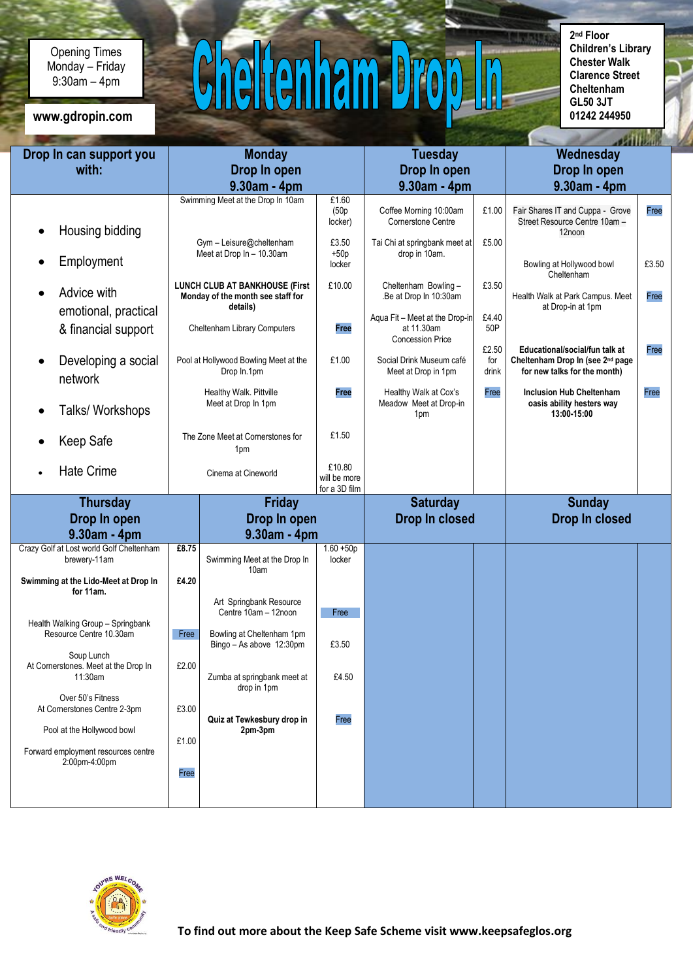Opening Times Monday – Friday 9:30am – 4pm

www.gdropin.com

## $C$ heltenham Dro  $\sqrt{0}$

**2 nd Floor Children's Library Chester Walk Clarence Street Cheltenham GL50 3JT**

| Drop In can support you                            | <b>Monday</b>                                  |                                                 |                        | <b>Tuesday</b>                                         |              | Wednesday                                                                      |       |
|----------------------------------------------------|------------------------------------------------|-------------------------------------------------|------------------------|--------------------------------------------------------|--------------|--------------------------------------------------------------------------------|-------|
| with:                                              | Drop In open                                   |                                                 |                        | Drop In open                                           |              | Drop In open                                                                   |       |
|                                                    |                                                | 9.30am - 4pm                                    |                        | 9.30am - 4pm                                           |              | 9.30am - 4pm                                                                   |       |
|                                                    |                                                | Swimming Meet at the Drop In 10am               | £1.60                  |                                                        |              |                                                                                |       |
|                                                    |                                                |                                                 | (50p)                  | Coffee Morning 10:00am                                 | £1.00        | Fair Shares IT and Cuppa - Grove                                               | Free  |
|                                                    |                                                |                                                 | locker)                | Cornerstone Centre                                     |              | Street Resource Centre 10am -                                                  |       |
| Housing bidding                                    |                                                | Gym - Leisure@cheltenham                        | £3.50                  | Tai Chi at springbank meet at                          | £5.00        | 12noon                                                                         |       |
|                                                    |                                                | Meet at Drop In - 10.30am                       | $+50p$                 | drop in 10am.                                          |              |                                                                                |       |
| Employment                                         |                                                |                                                 | locker                 |                                                        |              | Bowling at Hollywood bowl<br>Cheltenham                                        | £3.50 |
|                                                    |                                                | <b>LUNCH CLUB AT BANKHOUSE (First</b>           | £10.00                 | Cheltenham Bowling-                                    | £3.50        |                                                                                |       |
| Advice with                                        |                                                | Monday of the month see staff for               |                        | .Be at Drop In 10:30am                                 |              | Health Walk at Park Campus. Meet                                               | Free  |
| emotional, practical                               |                                                | details)                                        |                        | Aqua Fit - Meet at the Drop-in                         | £4.40        | at Drop-in at 1pm                                                              |       |
| & financial support                                |                                                | Cheltenham Library Computers                    | Free                   | at 11.30am                                             | 50P          |                                                                                |       |
|                                                    |                                                |                                                 |                        | <b>Concession Price</b>                                |              |                                                                                |       |
| Developing a social                                | Pool at Hollywood Bowling Meet at the          |                                                 | £1.00                  | Social Drink Museum café                               | £2.50<br>for | Educational/social/fun talk at<br>Cheltenham Drop In (see 2 <sup>nd</sup> page | Free  |
|                                                    |                                                | Drop In.1pm                                     |                        | Meet at Drop in 1pm                                    | drink        | for new talks for the month)                                                   |       |
| network                                            |                                                |                                                 |                        |                                                        |              |                                                                                |       |
|                                                    | Healthy Walk. Pittville<br>Meet at Drop In 1pm |                                                 | Free                   | Healthy Walk at Cox's<br>Meadow Meet at Drop-in<br>1pm | Free         | <b>Inclusion Hub Cheltenham</b><br>oasis ability hesters way                   | Free  |
| Talks/ Workshops                                   |                                                |                                                 |                        |                                                        |              | 13:00-15:00                                                                    |       |
|                                                    |                                                |                                                 | £1.50                  |                                                        |              |                                                                                |       |
| Keep Safe                                          |                                                | The Zone Meet at Cornerstones for<br>1pm        |                        |                                                        |              |                                                                                |       |
|                                                    |                                                |                                                 |                        |                                                        |              |                                                                                |       |
| <b>Hate Crime</b>                                  |                                                | Cinema at Cineworld                             | £10.80<br>will be more |                                                        |              |                                                                                |       |
|                                                    |                                                |                                                 | for a 3D film          |                                                        |              |                                                                                |       |
| <b>Thursday</b>                                    | Friday                                         |                                                 |                        | <b>Saturday</b>                                        |              | <b>Sunday</b>                                                                  |       |
| Drop In open                                       | Drop In open                                   |                                                 | Drop In closed         |                                                        |              | Drop In closed                                                                 |       |
| 9.30am - 4pm                                       | $9.30am - 4pm$                                 |                                                 |                        |                                                        |              |                                                                                |       |
| Crazy Golf at Lost world Golf Cheltenham           | £8.75                                          |                                                 | $1.60 + 50p$           |                                                        |              |                                                                                |       |
| brewery-11am                                       |                                                | Swimming Meet at the Drop In                    | locker                 |                                                        |              |                                                                                |       |
| Swimming at the Lido-Meet at Drop In               | £4.20                                          | 10am                                            |                        |                                                        |              |                                                                                |       |
| for 11am.                                          |                                                |                                                 |                        |                                                        |              |                                                                                |       |
|                                                    |                                                | Art Springbank Resource<br>Centre 10am - 12noon |                        |                                                        |              |                                                                                |       |
| Health Walking Group - Springbank                  |                                                |                                                 | Free                   |                                                        |              |                                                                                |       |
| Resource Centre 10.30am                            | Free                                           | Bowling at Cheltenham 1pm                       |                        |                                                        |              |                                                                                |       |
|                                                    |                                                | Bingo - As above 12:30pm                        | £3.50                  |                                                        |              |                                                                                |       |
| Soup Lunch<br>At Cornerstones. Meet at the Drop In | £2.00                                          |                                                 |                        |                                                        |              |                                                                                |       |
|                                                    |                                                |                                                 |                        |                                                        |              |                                                                                |       |
| 11:30am                                            |                                                | Zumba at springbank meet at                     | £4.50                  |                                                        |              |                                                                                |       |
|                                                    |                                                | drop in 1pm                                     |                        |                                                        |              |                                                                                |       |
| Over 50's Fitness<br>At Cornerstones Centre 2-3pm  | £3.00                                          |                                                 |                        |                                                        |              |                                                                                |       |
|                                                    |                                                | Quiz at Tewkesbury drop in                      | Free                   |                                                        |              |                                                                                |       |
| Pool at the Hollywood bowl                         |                                                | 2pm-3pm                                         |                        |                                                        |              |                                                                                |       |
| Forward employment resources centre                | £1.00                                          |                                                 |                        |                                                        |              |                                                                                |       |
| 2:00pm-4:00pm                                      |                                                |                                                 |                        |                                                        |              |                                                                                |       |
|                                                    | Free                                           |                                                 |                        |                                                        |              |                                                                                |       |